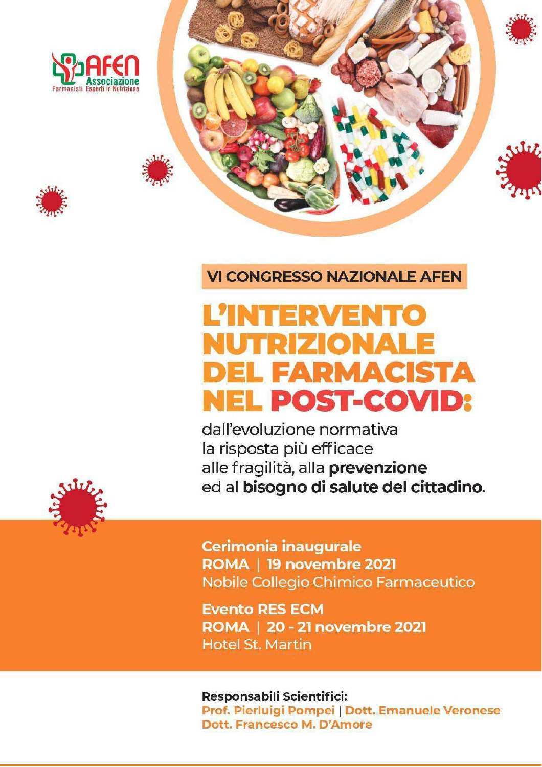





**VI CONGRESSO NAZIONALE AFEN** 

# **L'INTERVENTO** NUTRIZIONALE **DEL FARMACISTA NEL POST-COVID:**

dall'evoluzione normativa la risposta più efficace alle fragilità, alla prevenzione ed al bisogno di salute del cittadino.



Cerimonia inaugurale ROMA | 19 novembre 2021 Nobile Collegio Chimico Farmaceutico

**Evento RES ECM** ROMA | 20 - 21 novembre 2021 **Hotel St. Martin** 

Responsabili Scientifici: Prof. Pierluigi Pompei | Dott. Emanuele Veronese Dott, Francesco M. D'Amore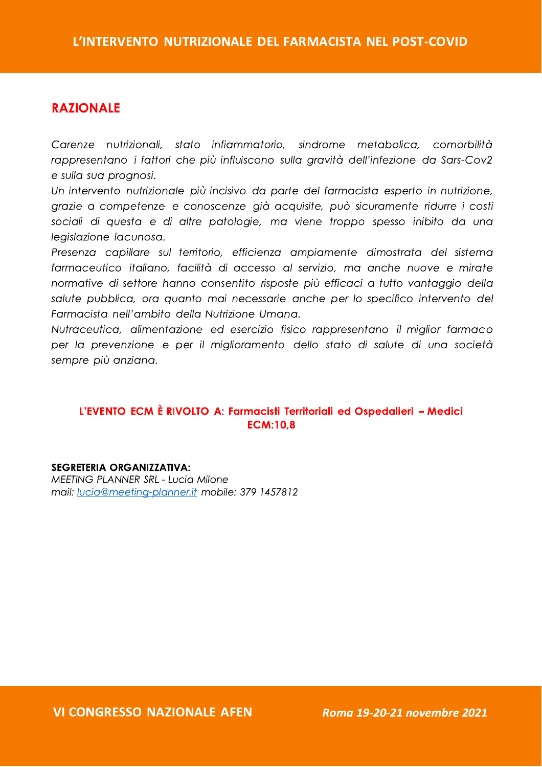Carenze nutrizionali, stato infiammatorio, sindrome metabolica, comorbilità rappresentano i fattori che più influiscono sulla gravità dell'infezione da Sars-Cov2 e sulla sua prognosi.

**L'INTERVENTO NUTR<br>
Carenze nutrizionali, state<br>
rappresentano i fattori che<br>
e sulla sua prognosi.<br>
Un intervento nutrizionale p<br>
grazie a competenze e co<br>
sociali di questa e di altr<br>
leaislazione lacunosa.** Un intervento nutrizionale più incisivo da parte del farmacista esperto in nutrizione, arazie a competenze e conoscenze già acquisite, può sicuramente ridurre i costi sociali di questa e di altre patologie, ma viene troppo spesso inibito da una legislazione lacunosa.

**L'INTERVENTO NUTRIZIONALE DEL FARMACISTA NEL POST-COVID<br>
RAZIONALE<br>
Corres contribuyoni del tribuyoni del tribuyoni del tribuyoni del tribuyoni del tribuyoni del tribuyoni del tribuyoni del tribuyoni del tribuyoni del tr** Presenza capillare sul territorio, efficienza ampiamente dimostrata del sistema farmaceutico italiano, facilità di accesso al servizio, ma anche nuove e mirate normative di settore hanno consentito risposte più efficaci a tutto vantaggio della salute pubblica, ora quanto mai necessarie anche per lo specifico intervento del Farmacista nell'ambito della Nutrizione Umana.

Nutraceutica, alimentazione ed esercizio fisico rappresentano il miglior farmaco per la prevenzione e per il miglioramento dello stato di salute di una società sempre più anziana.

#### L'EVENTO ECM È RIVOLTO A: Farmacisti Territoriali ed Ospedalieri - Medici  $ECM:10.8$

L'EVENTO ECM È RIVOLTO A: Farmacisti Territ<br>ECM:10,8<br>SEGRETERIA ORGANIZZATIVA:<br>MEETING PLANNER SRL - Lucia Milone<br>mail: <u>lucia@meeting-planner.it</u> mobile: 379 1457812

VI CONGRESSO NAZIO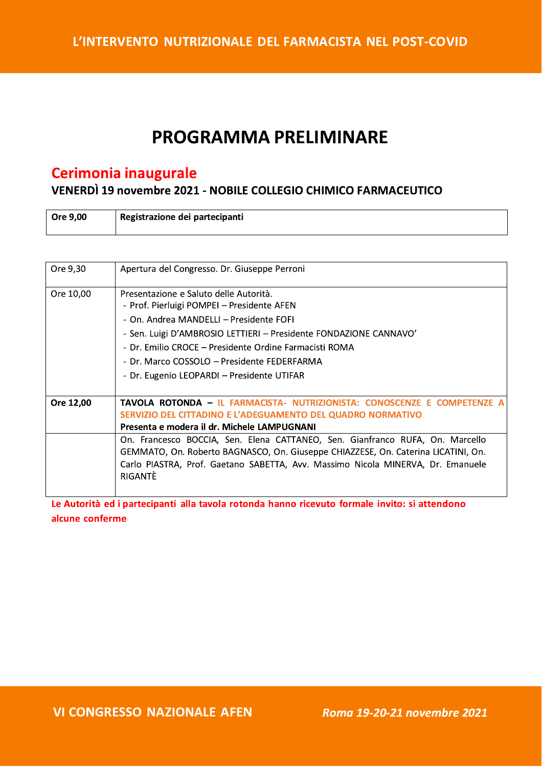# **PROGRAMMA PRELIMINARE**

# Cerimonia inaugurale

VENERDÌ 19 novembre 2021 - NOBILE COLLEGIO CHIMICO FARMACEUTICO

| Ore 9,00 | Registrazione dei partecipanti |
|----------|--------------------------------|
|          |                                |

| Ore 9,30  | Apertura del Congresso. Dr. Giuseppe Perroni                                                                                                                                                                                                                     |
|-----------|------------------------------------------------------------------------------------------------------------------------------------------------------------------------------------------------------------------------------------------------------------------|
| Ore 10,00 | Presentazione e Saluto delle Autorità.<br>- Prof. Pierluigi POMPEI - Presidente AFEN<br>- On. Andrea MANDELLI – Presidente FOFI<br>- Sen. Luigi D'AMBROSIO LETTIERI - Presidente FONDAZIONE CANNAVO'<br>- Dr. Emilio CROCE – Presidente Ordine Farmacisti ROMA   |
|           | - Dr. Marco COSSOLO – Presidente FEDERFARMA<br>- Dr. Eugenio LEOPARDI - Presidente UTIFAR                                                                                                                                                                        |
| Ore 12,00 | <b>TAVOLA ROTONDA - IL FARMACISTA- NUTRIZIONISTA: CONOSCENZE E COMPETENZE A</b><br>SERVIZIO DEL CITTADINO E L'ADEGUAMENTO DEL QUADRO NORMATIVO<br>Presenta e modera il dr. Michele LAMPUGNANI                                                                    |
|           | On. Francesco BOCCIA, Sen. Elena CATTANEO, Sen. Gianfranco RUFA, On. Marcello<br>GEMMATO, On. Roberto BAGNASCO, On. Giuseppe CHIAZZESE, On. Caterina LICATINI, On.<br>Carlo PIASTRA, Prof. Gaetano SABETTA, Avv. Massimo Nicola MINERVA, Dr. Emanuele<br>RIGANTÈ |

Le Autorità ed i partecipanti alla tavola rotonda hanno ricevuto formale invito: si attendono alcune conferme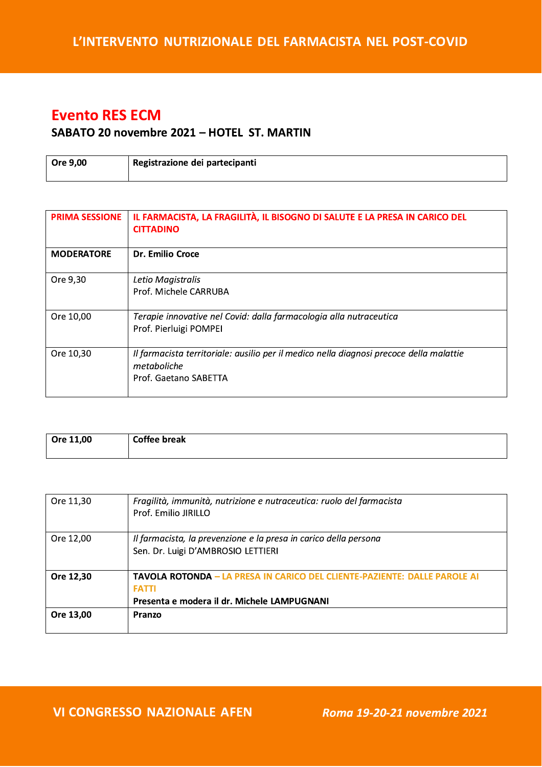# **Evento RES ECM**

#### SABATO 20 novembre 2021 - HOTEL ST. MARTIN

| Ore 9,00 | Registrazione dei partecipanti |
|----------|--------------------------------|
|          |                                |

| <b>PRIMA SESSIONE</b> | IL FARMACISTA, LA FRAGILITÀ, IL BISOGNO DI SALUTE E LA PRESA IN CARICO DEL<br><b>CITTADINO</b>                                  |
|-----------------------|---------------------------------------------------------------------------------------------------------------------------------|
| <b>MODERATORE</b>     | Dr. Emilio Croce                                                                                                                |
| Ore 9,30              | Letio Magistralis<br>Prof. Michele CARRUBA                                                                                      |
| Ore 10,00             | Terapie innovative nel Covid: dalla farmacologia alla nutraceutica<br>Prof. Pierluigi POMPEI                                    |
| Ore 10,30             | Il farmacista territoriale: ausilio per il medico nella diagnosi precoce della malattie<br>metaboliche<br>Prof. Gaetano SABETTA |

| Ore 11,00 | <b>Coffee break</b> |
|-----------|---------------------|
|           |                     |
|           |                     |
|           |                     |

| Ore 11,30 | Fragilità, immunità, nutrizione e nutraceutica: ruolo del farmacista<br>Prof. Emilio JRILLO                                                     |
|-----------|-------------------------------------------------------------------------------------------------------------------------------------------------|
| Ore 12,00 | Il farmacista, la prevenzione e la presa in carico della persona<br>Sen. Dr. Luigi D'AMBROSIO LETTIERI                                          |
| Ore 12,30 | <b>TAVOLA ROTONDA – LA PRESA IN CARICO DEL CLIENTE-PAZIENTE: DALLE PAROLE AI</b><br><b>FATTI</b><br>Presenta e modera il dr. Michele LAMPUGNANI |
| Ore 13,00 | Pranzo                                                                                                                                          |

**VI CONGRESSO NAZIONALE AFEN** 

Roma 19-20-21 novembre 2021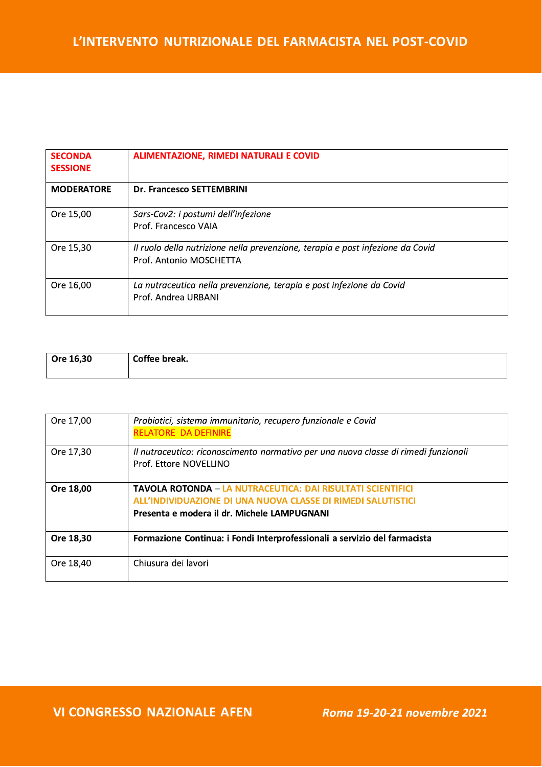| <b>SECONDA</b><br><b>SESSIONE</b> | ALIMENTAZIONE, RIMEDI NATURALI E COVID                                                                    |
|-----------------------------------|-----------------------------------------------------------------------------------------------------------|
| <b>MODERATORE</b>                 | Dr. Francesco SETTEMBRINI                                                                                 |
| Ore 15,00                         | Sars-Cov2: i postumi dell'infezione<br>Prof. Francesco VAIA                                               |
| Ore 15,30                         | Il ruolo della nutrizione nella prevenzione, terapia e post infezione da Covid<br>Prof. Antonio MOSCHETTA |
| Ore 16,00                         | La nutraceutica nella prevenzione, terapia e post infezione da Covid<br>Prof. Andrea URBANI               |

| Ore 16,30 | Coffee break. |
|-----------|---------------|
|           |               |

| Ore 17,00 | Probiotici, sistema immunitario, recupero funzionale e Covid<br><b>RELATORE DA DEFINIRE</b>                                                                                       |
|-----------|-----------------------------------------------------------------------------------------------------------------------------------------------------------------------------------|
| Ore 17,30 | Il nutraceutico: riconoscimento normativo per una nuova classe di rimedi funzionali<br>Prof. Ettore NOVELLINO                                                                     |
| Ore 18,00 | <b>TAVOLA ROTONDA – LA NUTRACEUTICA: DAI RISULTATI SCIENTIFICI</b><br>ALL'INDIVIDUAZIONE DI UNA NUOVA CLASSE DI RIMEDI SALUTISTICI<br>Presenta e modera il dr. Michele LAMPUGNANI |
| Ore 18,30 | Formazione Continua: i Fondi Interprofessionali a servizio del farmacista                                                                                                         |
| Ore 18,40 | Chiusura dei lavori                                                                                                                                                               |

**VI CONGRESSO NAZIONALE AFEN** 

Roma 19-20-21 novembre 2021